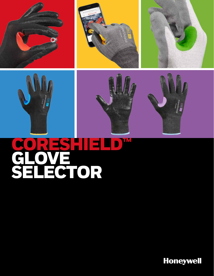











# CORESHIELD<sup>IM</sup> GLOV<br>SELE GTOR

**Honeywell**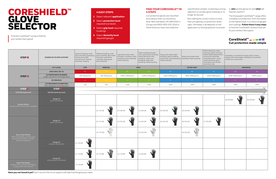#### **FIND YOUR CORESHIELD™ IN 4 STEPS**

Cut-protective gloves are classified according to their cut resistance level. New standards, EN 388:2016 in Europe and ANSI/ISEA 105-2016 in North America, have now made this

## CORESHIELD™ GLOVE **SELECTOR**

Find the CoreShield™ product that fits your workers like a glove!

#### **4 EASY STEPS**

- **1** Select relevant **application**.
- **2** Select **protection level** required (cut level) .
- **3** Select **grip level** required (coating).
- **4** Select **dexterity level** required (gauge).

classification simpler, so blaming a wrong selection on unclear glove markings is no longer an excuse! But making the correct choice is more

than just getting cut protection levels right. Ultimately, it all depends on the application so the big question to answer is: **who** are the gloves for and **what** will they be used for?

The Honeywell CoreShield™ range offers complete cut protection, from the lowest to the highest level, in a choice of gauges and coatings. **Follow these 4 easy steps** to find the CoreShield™ product that will fit your workers like a glove:

### CoreShield<sup>™</sup> – – – – – **Cut protection made simple**

| STEP <sup>O</sup>                                                                                                          | <b>EXAMPLES OF APPLICATIONS</b>                                           | General handling, small<br>parts assembly, packaging,<br>warehousing, light<br>maintenance, material<br>handling, shipping | Material handling, small<br>parts assembly, light metal<br>stamping, automotive<br>assembly, white goods<br>parts assembly | Light duty sheet, metal<br>and glass, handling, metal<br>stamping, parts assembly,<br>metal recycling | Glass handling, drywall<br>work, automotive assembly,<br>metal fabrication and<br>handling, metal cans<br>handling, steel wires<br>handling, metal recycling | Heavy duty sheet metal<br>handling, glass handling,<br>machining, metal stamping,<br>metal recycling | Heavy duty sheet metal<br>handling, metal recycling | Metal stamping, metal<br>recycling, paper and pulp<br>(slitter blade replacement),<br>automotive assembly,<br>metal fabrication, sharp<br>metal stamping, glass<br>manufacturing, window<br>manufacturing | Assembly or movement of large, bulky or heavy<br>objects with sharp edges. Assembly or movement<br>of difficult-to-grip items |               |
|----------------------------------------------------------------------------------------------------------------------------|---------------------------------------------------------------------------|----------------------------------------------------------------------------------------------------------------------------|----------------------------------------------------------------------------------------------------------------------------|-------------------------------------------------------------------------------------------------------|--------------------------------------------------------------------------------------------------------------------------------------------------------------|------------------------------------------------------------------------------------------------------|-----------------------------------------------------|-----------------------------------------------------------------------------------------------------------------------------------------------------------------------------------------------------------|-------------------------------------------------------------------------------------------------------------------------------|---------------|
| STEP <sup><sup>O</sup></sup>                                                                                               | <b>CUT LEVEL</b>                                                          | LOW                                                                                                                        | <b>MEDIUM</b>                                                                                                              |                                                                                                       | <b>HIGH</b>                                                                                                                                                  | <b>EXTRA HIGH</b>                                                                                    |                                                     |                                                                                                                                                                                                           | MAXIMUM                                                                                                                       |               |
|                                                                                                                            | <b>ANSI/ISEA 105-16</b>                                                   | A1                                                                                                                         | A2                                                                                                                         | A3                                                                                                    | <b>A4</b>                                                                                                                                                    | A <sub>5</sub>                                                                                       | A <sub>6</sub>                                      | A7                                                                                                                                                                                                        | A <sub>8</sub>                                                                                                                | A9            |
|                                                                                                                            | <b>CUT RESISTANCE IN GRAMS</b><br>(weight required to cut through glove)  | 200-499 grams                                                                                                              | 500-999 grams                                                                                                              | 1000-1499 grams                                                                                       | 1500-2199 grams                                                                                                                                              | 2200-2999 grams                                                                                      | 3000-3999 grams                                     | 4000-4999 grams                                                                                                                                                                                           | 5000-5999 grams                                                                                                               | 6000+ grams   |
|                                                                                                                            | EN 388:2016                                                               | A                                                                                                                          | $-B$                                                                                                                       | $\overline{C}$                                                                                        | D                                                                                                                                                            | Æ.                                                                                                   | F.                                                  | -F                                                                                                                                                                                                        | $-F$                                                                                                                          | -F.           |
|                                                                                                                            | <b>CUT RESISTANCE IN NEWTONS</b><br>(force required to cut through glove) | >2N                                                                                                                        | >5N                                                                                                                        | >10N                                                                                                  | >15N                                                                                                                                                         | >22N                                                                                                 | >30N                                                | >40N                                                                                                                                                                                                      | >50N                                                                                                                          | >60N          |
| STEP <sup>3</sup>                                                                                                          | STEP <sup>4</sup>                                                         |                                                                                                                            |                                                                                                                            |                                                                                                       |                                                                                                                                                              |                                                                                                      |                                                     |                                                                                                                                                                                                           |                                                                                                                               |               |
| <b>COATING (grip level)</b>                                                                                                | GAUGE (dexterity level)                                                   |                                                                                                                            |                                                                                                                            |                                                                                                       |                                                                                                                                                              |                                                                                                      |                                                     |                                                                                                                                                                                                           |                                                                                                                               |               |
| <b>Smooth Nitrile:</b><br>Dry grip, water and oil proof, durability                                                        | Gauge 10<br>good fit/dexterity                                            |                                                                                                                            |                                                                                                                            |                                                                                                       |                                                                                                                                                              |                                                                                                      |                                                     |                                                                                                                                                                                                           | W<br>28-0910B                                                                                                                 | W<br>29-0910B |
|                                                                                                                            |                                                                           |                                                                                                                            | W<br>22-7913B                                                                                                              | m<br>23-0913B                                                                                         | W<br>24-0913B                                                                                                                                                | W<br>25-0913B                                                                                        | W<br>26-0913B                                       |                                                                                                                                                                                                           |                                                                                                                               |               |
| <b>Micro Foam Nitrile:</b><br>360° breathability, excellent grip,<br>reduced hand fatigue, comfort,<br>abrasion resistance | Gauge 13<br>great fit/dexterity                                           |                                                                                                                            | 22-7513B                                                                                                                   | m<br>23-0513B                                                                                         | $\boldsymbol{m}$<br>24-0513B                                                                                                                                 | W<br>25-0513B                                                                                        | W<br>26-0513B                                       | W.<br>27-0513B                                                                                                                                                                                            |                                                                                                                               |               |
|                                                                                                                            |                                                                           |                                                                                                                            | MM<br>Y<br>22-7513W                                                                                                        |                                                                                                       | 24-0513W                                                                                                                                                     |                                                                                                      | M<br>26-0513W                                       |                                                                                                                                                                                                           |                                                                                                                               |               |
|                                                                                                                            | Gauge 15<br>excellent fit/dexterity                                       | W<br>21-1515B                                                                                                              |                                                                                                                            |                                                                                                       |                                                                                                                                                              |                                                                                                      |                                                     |                                                                                                                                                                                                           |                                                                                                                               |               |
|                                                                                                                            | Gauge 18<br>extraordinary fit/dexterity                                   | ABA.<br>21-1518B                                                                                                           | $\sqrt{m}$<br>22-7518B                                                                                                     | AAA.<br>m<br>23-7518B                                                                                 | AMA.<br>W<br>24-9518B                                                                                                                                        |                                                                                                      |                                                     |                                                                                                                                                                                                           |                                                                                                                               |               |
| Super Thin Nitrile:<br>Softness and comfort hand feeling,<br>dry grip, water and oil proof                                 |                                                                           | m<br>21-1818B                                                                                                              |                                                                                                                            |                                                                                                       |                                                                                                                                                              |                                                                                                      |                                                     |                                                                                                                                                                                                           |                                                                                                                               |               |

**Have you not found it yet?** Get in touch! One of our experts will help find the glove you need.